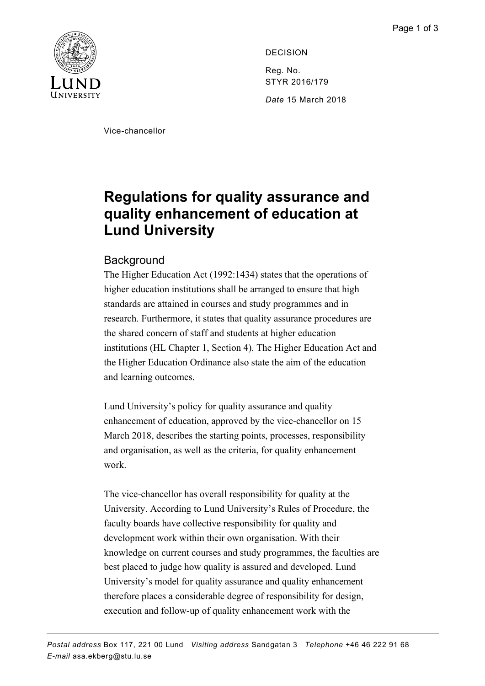

DECISION Reg. No. STYR 2016/179 *Date* 15 March 2018

Vice-chancellor

## **Regulations for quality assurance and quality enhancement of education at Lund University**

## **Background**

The Higher Education Act (1992:1434) states that the operations of higher education institutions shall be arranged to ensure that high standards are attained in courses and study programmes and in research. Furthermore, it states that quality assurance procedures are the shared concern of staff and students at higher education institutions (HL Chapter 1, Section 4). The Higher Education Act and the Higher Education Ordinance also state the aim of the education and learning outcomes.

Lund University's policy for quality assurance and quality enhancement of education, approved by the vice-chancellor on 15 March 2018, describes the starting points, processes, responsibility and organisation, as well as the criteria, for quality enhancement work.

The vice-chancellor has overall responsibility for quality at the University. According to Lund University's Rules of Procedure, the faculty boards have collective responsibility for quality and development work within their own organisation. With their knowledge on current courses and study programmes, the faculties are best placed to judge how quality is assured and developed. Lund University's model for quality assurance and quality enhancement therefore places a considerable degree of responsibility for design, execution and follow-up of quality enhancement work with the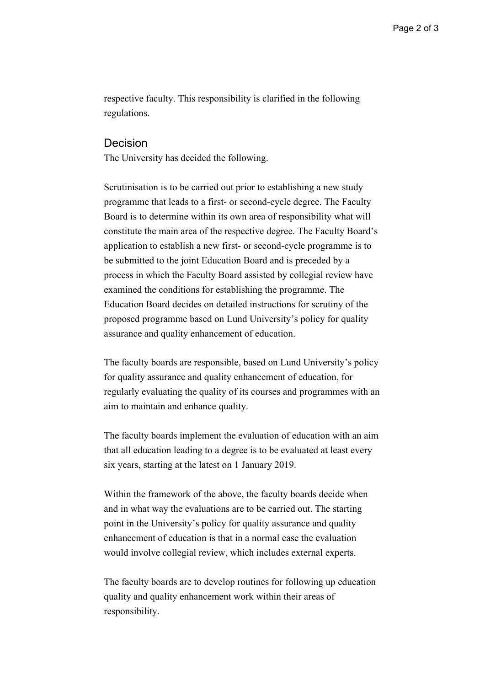respective faculty. This responsibility is clarified in the following regulations.

## Decision

The University has decided the following.

Scrutinisation is to be carried out prior to establishing a new study programme that leads to a first- or second-cycle degree. The Faculty Board is to determine within its own area of responsibility what will constitute the main area of the respective degree. The Faculty Board's application to establish a new first- or second-cycle programme is to be submitted to the joint Education Board and is preceded by a process in which the Faculty Board assisted by collegial review have examined the conditions for establishing the programme. The Education Board decides on detailed instructions for scrutiny of the proposed programme based on Lund University's policy for quality assurance and quality enhancement of education.

The faculty boards are responsible, based on Lund University's policy for quality assurance and quality enhancement of education, for regularly evaluating the quality of its courses and programmes with an aim to maintain and enhance quality.

The faculty boards implement the evaluation of education with an aim that all education leading to a degree is to be evaluated at least every six years, starting at the latest on 1 January 2019.

Within the framework of the above, the faculty boards decide when and in what way the evaluations are to be carried out. The starting point in the University's policy for quality assurance and quality enhancement of education is that in a normal case the evaluation would involve collegial review, which includes external experts.

The faculty boards are to develop routines for following up education quality and quality enhancement work within their areas of responsibility.